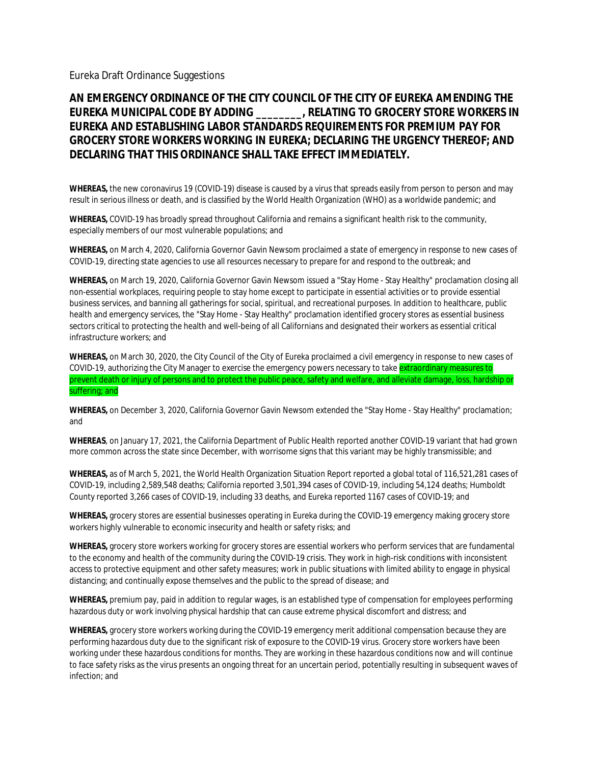Eureka Draft Ordinance Suggestions

**AN EMERGENCY ORDINANCE OF THE CITY COUNCIL OF THE CITY OF EUREKA AMENDING THE EUREKA MUNICIPAL CODE BY ADDING \_\_\_\_\_\_\_\_, RELATING TO GROCERY STORE WORKERS IN EUREKA AND ESTABLISHING LABOR STANDARDS REQUIREMENTS FOR PREMIUM PAY FOR GROCERY STORE WORKERS WORKING IN EUREKA; DECLARING THE URGENCY THEREOF; AND DECLARING THAT THIS ORDINANCE SHALL TAKE EFFECT IMMEDIATELY.**

**WHEREAS,** the new coronavirus 19 (COVID-19) disease is caused by a virus that spreads easily from person to person and may result in serious illness or death, and is classified by the World Health Organization (WHO) as a worldwide pandemic; and

**WHEREAS,** COVID-19 has broadly spread throughout California and remains a significant health risk to the community, especially members of our most vulnerable populations; and

**WHEREAS,** on March 4, 2020, California Governor Gavin Newsom proclaimed a state of emergency in response to new cases of COVID-19, directing state agencies to use all resources necessary to prepare for and respond to the outbreak; and

**WHEREAS,** on March 19, 2020, California Governor Gavin Newsom issued a "Stay Home - Stay Healthy" proclamation closing all non-essential workplaces, requiring people to stay home except to participate in essential activities or to provide essential business services, and banning all gatherings for social, spiritual, and recreational purposes. In addition to healthcare, public health and emergency services, the "Stay Home - Stay Healthy" proclamation identified grocery stores as essential business sectors critical to protecting the health and well-being of all Californians and designated their workers as essential critical infrastructure workers; and

**WHEREAS,** on March 30, 2020, the City Council of the City of Eureka proclaimed a civil emergency in response to new cases of COVID-19, authorizing the City Manager to exercise the emergency powers necessary to take extraordinary measures to prevent death or injury of persons and to protect the public peace, safety and welfare, and alleviate damage, loss, hardship or suffering; and

**WHEREAS,** on December 3, 2020, California Governor Gavin Newsom extended the "Stay Home - Stay Healthy" proclamation; and

**WHEREAS**, on January 17, 2021, the California Department of Public Health reported another COVID-19 variant that had grown more common across the state since December, with worrisome signs that this variant may be highly transmissible; and

**WHEREAS,** as of March 5, 2021, the World Health Organization Situation Report reported a global total of 116,521,281 cases of COVID-19, including 2,589,548 deaths; California reported 3,501,394 cases of COVID-19, including 54,124 deaths; Humboldt County reported 3,266 cases of COVID-19, including 33 deaths, and Eureka reported 1167 cases of COVID-19; and

**WHEREAS,** grocery stores are essential businesses operating in Eureka during the COVID-19 emergency making grocery store workers highly vulnerable to economic insecurity and health or safety risks; and

**WHEREAS,** grocery store workers working for grocery stores are essential workers who perform services that are fundamental to the economy and health of the community during the COVID-19 crisis. They work in high-risk conditions with inconsistent access to protective equipment and other safety measures; work in public situations with limited ability to engage in physical distancing; and continually expose themselves and the public to the spread of disease; and

**WHEREAS,** premium pay, paid in addition to regular wages, is an established type of compensation for employees performing hazardous duty or work involving physical hardship that can cause extreme physical discomfort and distress; and

**WHEREAS,** grocery store workers working during the COVID-19 emergency merit additional compensation because they are performing hazardous duty due to the significant risk of exposure to the COVID-19 virus. Grocery store workers have been working under these hazardous conditions for months. They are working in these hazardous conditions now and will continue to face safety risks as the virus presents an ongoing threat for an uncertain period, potentially resulting in subsequent waves of infection; and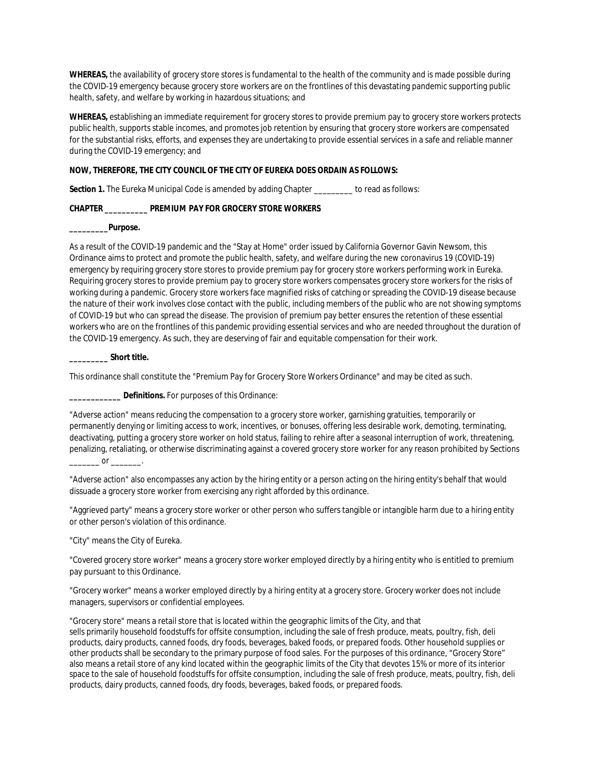**WHEREAS,** the availability of grocery store stores is fundamental to the health of the community and is made possible during the COVID-19 emergency because grocery store workers are on the frontlines of this devastating pandemic supporting public health, safety, and welfare by working in hazardous situations; and

**WHEREAS,** establishing an immediate requirement for grocery stores to provide premium pay to grocery store workers protects public health, supports stable incomes, and promotes job retention by ensuring that grocery store workers are compensated for the substantial risks, efforts, and expenses they are undertaking to provide essential services in a safe and reliable manner during the COVID-19 emergency; and

**NOW, THEREFORE, THE CITY COUNCIL OF THE CITY OF EUREKA DOES ORDAIN AS FOLLOWS:**

**Section 1.** The Eureka Municipal Code is amended by adding Chapter \_\_\_\_\_\_\_\_\_ to read as follows:

**CHAPTER \_\_\_\_\_\_\_\_\_\_ PREMIUM PAY FOR GROCERY STORE WORKERS**

**\_\_\_\_\_\_\_\_\_Purpose.**

As a result of the COVID-19 pandemic and the "Stay at Home" order issued by California Governor Gavin Newsom, this Ordinance aims to protect and promote the public health, safety, and welfare during the new coronavirus 19 (COVID-19) emergency by requiring grocery store stores to provide premium pay for grocery store workers performing work in Eureka. Requiring grocery stores to provide premium pay to grocery store workers compensates grocery store workers for the risks of working during a pandemic. Grocery store workers face magnified risks of catching or spreading the COVID-19 disease because the nature of their work involves close contact with the public, including members of the public who are not showing symptoms of COVID-19 but who can spread the disease. The provision of premium pay better ensures the retention of these essential workers who are on the frontlines of this pandemic providing essential services and who are needed throughout the duration of the COVID-19 emergency. As such, they are deserving of fair and equitable compensation for their work.

**\_\_\_\_\_\_\_\_\_ Short title.**

This ordinance shall constitute the "Premium Pay for Grocery Store Workers Ordinance" and may be cited as such.

**\_\_\_\_\_\_\_\_\_\_\_\_ Definitions.** For purposes of this Ordinance:

"Adverse action" means reducing the compensation to a grocery store worker, garnishing gratuities, temporarily or permanently denying or limiting access to work, incentives, or bonuses, offering less desirable work, demoting, terminating, deactivating, putting a grocery store worker on hold status, failing to rehire after a seasonal interruption of work, threatening, penalizing, retaliating, or otherwise discriminating against a covered grocery store worker for any reason prohibited by Sections  $\overline{\phantom{a}}$  or  $\overline{\phantom{a}}$ 

"Adverse action" also encompasses any action by the hiring entity or a person acting on the hiring entity's behalf that would dissuade a grocery store worker from exercising any right afforded by this ordinance.

"Aggrieved party" means a grocery store worker or other person who suffers tangible or intangible harm due to a hiring entity or other person's violation of this ordinance.

"City" means the City of Eureka.

"Covered grocery store worker" means a grocery store worker employed directly by a hiring entity who is entitled to premium pay pursuant to this Ordinance.

"Grocery worker" means a worker employed directly by a hiring entity at a grocery store. Grocery worker does not include managers, supervisors or confidential employees.

"Grocery store" means a retail store that is located within the geographic limits of the City, and that sells primarily household foodstuffs for offsite consumption, including the sale of fresh produce, meats, poultry, fish, deli products, dairy products, canned foods, dry foods, beverages, baked foods, or prepared foods. Other household supplies or other products shall be secondary to the primary purpose of food sales. For the purposes of this ordinance, "Grocery Store" also means a retail store of any kind located within the geographic limits of the City that devotes 15% or more of its interior space to the sale of household foodstuffs for offsite consumption, including the sale of fresh produce, meats, poultry, fish, deli products, dairy products, canned foods, dry foods, beverages, baked foods, or prepared foods.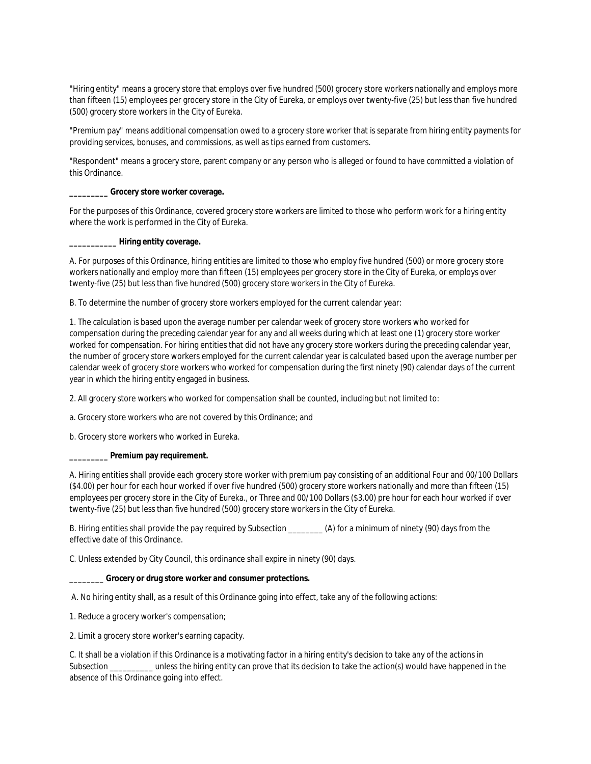"Hiring entity" means a grocery store that employs over five hundred (500) grocery store workers nationally and employs more than fifteen (15) employees per grocery store in the City of Eureka, or employs over twenty-five (25) but less than five hundred (500) grocery store workers in the City of Eureka.

"Premium pay" means additional compensation owed to a grocery store worker that is separate from hiring entity payments for providing services, bonuses, and commissions, as well as tips earned from customers.

"Respondent" means a grocery store, parent company or any person who is alleged or found to have committed a violation of this Ordinance.

**\_\_\_\_\_\_\_\_\_ Grocery store worker coverage.**

For the purposes of this Ordinance, covered grocery store workers are limited to those who perform work for a hiring entity where the work is performed in the City of Eureka.

**\_\_\_\_\_\_\_\_\_\_\_ Hiring entity coverage.**

A. For purposes of this Ordinance, hiring entities are limited to those who employ five hundred (500) or more grocery store workers nationally and employ more than fifteen (15) employees per grocery store in the City of Eureka, or employs over twenty-five (25) but less than five hundred (500) grocery store workers in the City of Eureka.

B. To determine the number of grocery store workers employed for the current calendar year:

1. The calculation is based upon the average number per calendar week of grocery store workers who worked for compensation during the preceding calendar year for any and all weeks during which at least one (1) grocery store worker worked for compensation. For hiring entities that did not have any grocery store workers during the preceding calendar year, the number of grocery store workers employed for the current calendar year is calculated based upon the average number per calendar week of grocery store workers who worked for compensation during the first ninety (90) calendar days of the current year in which the hiring entity engaged in business.

2. All grocery store workers who worked for compensation shall be counted, including but not limited to:

a. Grocery store workers who are not covered by this Ordinance; and

b. Grocery store workers who worked in Eureka.

**\_\_\_\_\_\_\_\_\_ Premium pay requirement.**

A. Hiring entities shall provide each grocery store worker with premium pay consisting of an additional Four and 00/100 Dollars (\$4.00) per hour for each hour worked if over five hundred (500) grocery store workers nationally and more than fifteen (15) employees per grocery store in the City of Eureka., or Three and 00/100 Dollars (\$3.00) pre hour for each hour worked if over twenty-five (25) but less than five hundred (500) grocery store workers in the City of Eureka.

B. Hiring entities shall provide the pay required by Subsection \_\_\_\_\_\_\_\_ (A) for a minimum of ninety (90) days from the effective date of this Ordinance.

C. Unless extended by City Council, this ordinance shall expire in ninety (90) days.

**\_\_\_\_\_\_\_\_ Grocery or drug store worker and consumer protections.**

A. No hiring entity shall, as a result of this Ordinance going into effect, take any of the following actions:

1. Reduce a grocery worker's compensation;

2. Limit a grocery store worker's earning capacity.

C. It shall be a violation if this Ordinance is a motivating factor in a hiring entity's decision to take any of the actions in Subsection \_\_\_\_\_\_\_\_\_\_ unless the hiring entity can prove that its decision to take the action(s) would have happened in the absence of this Ordinance going into effect.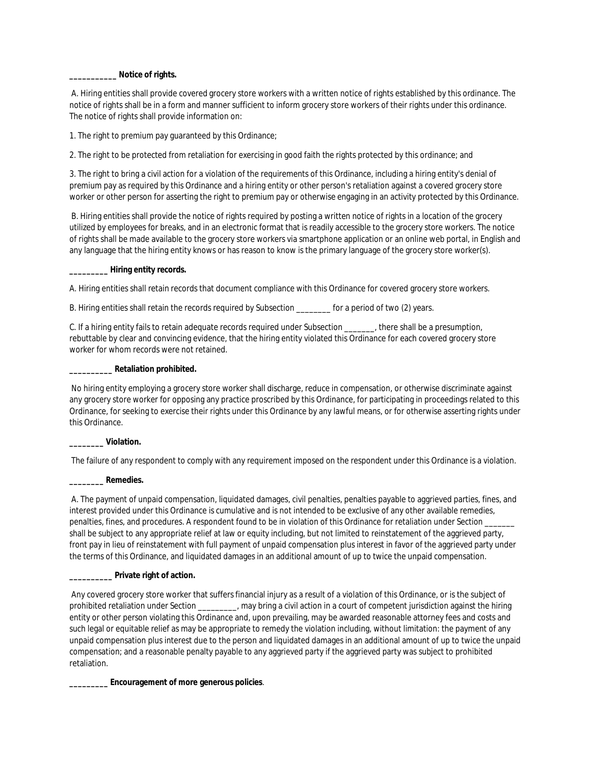**\_\_\_\_\_\_\_\_\_\_\_ Notice of rights.**

A. Hiring entities shall provide covered grocery store workers with a written notice of rights established by this ordinance. The notice of rights shall be in a form and manner sufficient to inform grocery store workers of their rights under this ordinance. The notice of rights shall provide information on:

1. The right to premium pay guaranteed by this Ordinance;

2. The right to be protected from retaliation for exercising in good faith the rights protected by this ordinance; and

3. The right to bring a civil action for a violation of the requirements of this Ordinance, including a hiring entity's denial of premium pay as required by this Ordinance and a hiring entity or other person's retaliation against a covered grocery store worker or other person for asserting the right to premium pay or otherwise engaging in an activity protected by this Ordinance.

B. Hiring entities shall provide the notice of rights required by posting a written notice of rights in a location of the grocery utilized by employees for breaks, and in an electronic format that is readily accessible to the grocery store workers. The notice of rights shall be made available to the grocery store workers via smartphone application or an online web portal, in English and any language that the hiring entity knows or has reason to know is the primary language of the grocery store worker(s).

**\_\_\_\_\_\_\_\_\_ Hiring entity records.**

A. Hiring entities shall retain records that document compliance with this Ordinance for covered grocery store workers.

B. Hiring entities shall retain the records required by Subsection \_\_\_\_\_\_\_\_ for a period of two (2) years.

C. If a hiring entity fails to retain adequate records required under Subsection \_\_\_\_\_\_\_, there shall be a presumption, rebuttable by clear and convincing evidence, that the hiring entity violated this Ordinance for each covered grocery store worker for whom records were not retained.

**\_\_\_\_\_\_\_\_\_\_ Retaliation prohibited.**

No hiring entity employing a grocery store worker shall discharge, reduce in compensation, or otherwise discriminate against any grocery store worker for opposing any practice proscribed by this Ordinance, for participating in proceedings related to this Ordinance, for seeking to exercise their rights under this Ordinance by any lawful means, or for otherwise asserting rights under this Ordinance.

**\_\_\_\_\_\_\_\_ Violation.**

The failure of any respondent to comply with any requirement imposed on the respondent under this Ordinance is a violation.

**\_\_\_\_\_\_\_\_ Remedies.**

A. The payment of unpaid compensation, liquidated damages, civil penalties, penalties payable to aggrieved parties, fines, and interest provided under this Ordinance is cumulative and is not intended to be exclusive of any other available remedies, penalties, fines, and procedures. A respondent found to be in violation of this Ordinance for retaliation under Section shall be subject to any appropriate relief at law or equity including, but not limited to reinstatement of the aggrieved party, front pay in lieu of reinstatement with full payment of unpaid compensation plus interest in favor of the aggrieved party under the terms of this Ordinance, and liquidated damages in an additional amount of up to twice the unpaid compensation.

**\_\_\_\_\_\_\_\_\_\_ Private right of action.**

Any covered grocery store worker that suffers financial injury as a result of a violation of this Ordinance, or is the subject of prohibited retaliation under Section \_\_\_\_\_\_\_, may bring a civil action in a court of competent jurisdiction against the hiring entity or other person violating this Ordinance and, upon prevailing, may be awarded reasonable attorney fees and costs and such legal or equitable relief as may be appropriate to remedy the violation including, without limitation: the payment of any unpaid compensation plus interest due to the person and liquidated damages in an additional amount of up to twice the unpaid compensation; and a reasonable penalty payable to any aggrieved party if the aggrieved party was subject to prohibited retaliation.

**\_\_\_\_\_\_\_\_\_ Encouragement of more generous policies**.